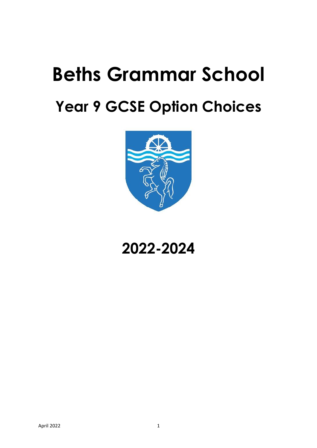# **Beths Grammar School Year 9 GCSE Option Choices**



## **2022-2024**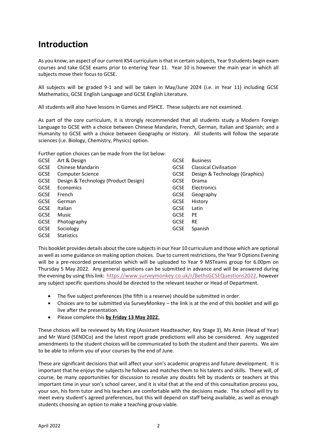## **Introduction**

As you know, an aspect of our current KS4 curriculum is that in certain subjects, Year 9 students begin exam courses and take GCSE exams prior to entering Year 11. Year 10 is however the main year in which all subjects move their focus to GCSE.

All subjects will be graded 9-1 and will be taken in May/June 2024 (i.e. in Year 11) including GCSE Mathematics, GCSE English Language and GCSE English Literature.

All students will also have lessons in Games and PSHCE. These subjects are not examined.

As part of the core curriculum, it is strongly recommended that all students study a Modern Foreign Language to GCSE with a choice between Chinese Mandarin, French, German, Italian and Spanish; and a Humanity to GCSE with a choice between Geography or History. All students will follow the separate sciences (i.e. Biology, Chemistry, Physics) option.

Further option choices can be made from the list below:

| <b>GCSE</b> | Art & Design                         | <b>GCSE</b> | <b>Business</b>                |
|-------------|--------------------------------------|-------------|--------------------------------|
| <b>GCSE</b> | Chinese Mandarin                     | <b>GCSE</b> | <b>Classical Civilisation</b>  |
| <b>GCSE</b> | Computer Science                     | <b>GCSE</b> | Design & Technology (Graphics) |
| <b>GCSE</b> | Design & Technology (Product Design) | <b>GCSE</b> | Drama                          |
| <b>GCSE</b> | Economics                            | <b>GCSE</b> | Electronics                    |
| <b>GCSE</b> | French                               | <b>GCSE</b> | Geography                      |
| <b>GCSE</b> | German                               | <b>GCSE</b> | History                        |
| <b>GCSE</b> | Italian                              | <b>GCSE</b> | Latin                          |
| <b>GCSE</b> | Music                                | <b>GCSE</b> | PE                             |
| <b>GCSE</b> | Photography                          | <b>GCSE</b> | <b>RE</b>                      |
| <b>GCSE</b> | Sociology                            | <b>GCSE</b> | Spanish                        |
| <b>GCSE</b> | <b>Statistics</b>                    |             |                                |

This booklet provides details about the core subjects in our Year 10 curriculum and those which are optional as well as some guidance on making option choices. Due to current restrictions, the Year 9 Options Evening will be a pre-recorded presentation which will be uploaded to Year 9 MSTeams group for 6.00pm on Thursday 5 May 2022. Any general questions can be submitted in advance and will be answered during the evening by using this link: <https://www.surveymonkey.co.uk/r/BethsGCSEQuestions2022>, however any subject specific questions should be directed to the relevant teacher or Head of Department.

- The five subject preferences (the fifth is a reserve) should be submitted in order.
- Choices are to be submitted via SurveyMonkey the link is at the end of this booklet and will go live after the presentation.
- Please complete this **by Friday 13 May 2022.**

These choices will be reviewed by Ms King (Assistant Headteacher, Key Stage 3), Ms Amin (Head of Year) and Mr Ward (SENDCo) and the latest report grade predictions will also be considered. Any suggested amendments to the student choices will be communicated to both the student and their parents. We aim to be able to inform you of your courses by the end of June.

These are significant decisions that will affect your son's academic progress and future development. It is important that he enjoys the subjects he follows and matches them to his talents and skills. There will, of course, be many opportunities for discussion to resolve any doubts felt by students or teachers at this important time in your son's school career, and it is vital that at the end of this consultation process you, your son, his form tutor and his teachers are comfortable with the decisions made. The school will try to meet every student's agreed preferences, but this will depend on staff being available, as well as enough students choosing an option to make a teaching group viable.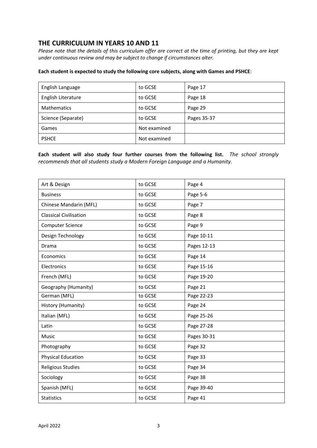## **THE CURRICULUM IN YEARS 10 AND 11**

*Please note that the details of this curriculum offer are correct at the time of printing, but they are kept under continuous review and may be subject to change if circumstances alter.*

#### **Each student is expected to study the following core subjects, along with Games and PSHCE**:

| English Language   | to GCSE      | Page 17     |
|--------------------|--------------|-------------|
| English Literature | to GCSE      | Page 18     |
| <b>Mathematics</b> | to GCSE      | Page 29     |
| Science (Separate) | to GCSE      | Pages 35-37 |
| Games              | Not examined |             |
| <b>PSHCE</b>       | Not examined |             |

**Each student will also study four further courses from the following list.** *The school strongly recommends that all students study a Modern Foreign Language and a Humanity.*

| Art & Design                  | to GCSE | Page 4      |
|-------------------------------|---------|-------------|
| <b>Business</b>               | to GCSE | Page 5-6    |
| Chinese Mandarin (MFL)        | to GCSE | Page 7      |
| <b>Classical Civilisation</b> | to GCSE | Page 8      |
| Computer Science              | to GCSE | Page 9      |
| Design Technology             | to GCSE | Page 10-11  |
| Drama                         | to GCSE | Pages 12-13 |
| Economics                     | to GCSE | Page 14     |
| Electronics                   | to GCSE | Page 15-16  |
| French (MFL)                  | to GCSE | Page 19-20  |
| Geography (Humanity)          | to GCSE | Page 21     |
| German (MFL)                  | to GCSE | Page 22-23  |
| History (Humanity)            | to GCSE | Page 24     |
| Italian (MFL)                 | to GCSE | Page 25-26  |
| Latin                         | to GCSE | Page 27-28  |
| Music                         | to GCSE | Pages 30-31 |
| Photography                   | to GCSE | Page 32     |
| <b>Physical Education</b>     | to GCSE | Page 33     |
| <b>Religious Studies</b>      | to GCSE | Page 34     |
| Sociology                     | to GCSE | Page 38     |
| Spanish (MFL)                 | to GCSE | Page 39-40  |
| <b>Statistics</b>             | to GCSE | Page 41     |
|                               |         |             |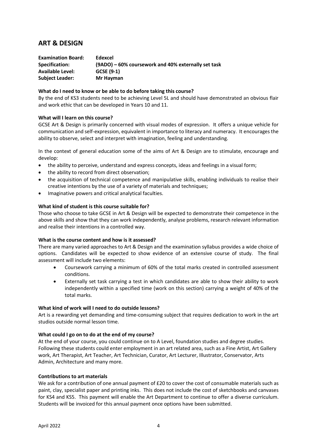## **ART & DESIGN**

| <b>Examination Board:</b> | Edexcel                                             |
|---------------------------|-----------------------------------------------------|
| Specification:            | (9ADO) – 60% coursework and 40% externally set task |
| <b>Available Level:</b>   | GCSE (9-1)                                          |
| <b>Subject Leader:</b>    | Mr Hayman                                           |

#### **What do I need to know or be able to do before taking this course?**

By the end of KS3 students need to be achieving Level 5L and should have demonstrated an obvious flair and work ethic that can be developed in Years 10 and 11.

#### **What will I learn on this course?**

GCSE Art & Design is primarily concerned with visual modes of expression. It offers a unique vehicle for communication and self-expression, equivalent in importance to literacy and numeracy. It encourages the ability to observe, select and interpret with imagination, feeling and understanding.

In the context of general education some of the aims of Art & Design are to stimulate, encourage and develop:

- the ability to perceive, understand and express concepts, ideas and feelings in a visual form;
- the ability to record from direct observation;
- the acquisition of technical competence and manipulative skills, enabling individuals to realise their creative intentions by the use of a variety of materials and techniques;
- Imaginative powers and critical analytical faculties.

#### **What kind of student is this course suitable for?**

Those who choose to take GCSE in Art & Design will be expected to demonstrate their competence in the above skills and show that they can work independently, analyse problems, research relevant information and realise their intentions in a controlled way.

#### **What is the course content and how is it assessed?**

There are many varied approaches to Art & Design and the examination syllabus provides a wide choice of options. Candidates will be expected to show evidence of an extensive course of study. The final assessment will include two elements:

- Coursework carrying a minimum of 60% of the total marks created in controlled assessment conditions.
- Externally set task carrying a test in which candidates are able to show their ability to work independently within a specified time (work on this section) carrying a weight of 40% of the total marks.

#### **What kind of work will I need to do outside lessons?**

Art is a rewarding yet demanding and time-consuming subject that requires dedication to work in the art studios outside normal lesson time.

#### **What could I go on to do at the end of my course?**

At the end of your course, you could continue on to A Level, foundation studies and degree studies. Following these students could enter employment in an art related area, such as a Fine Artist, Art Gallery work, Art Therapist, Art Teacher, Art Technician, Curator, Art Lecturer, Illustrator, Conservator, Arts Admin, Architecture and many more.

#### **Contributions to art materials**

We ask for a contribution of one annual payment of £20 to cover the cost of consumable materials such as paint, clay, specialist paper and printing inks. This does not include the cost of sketchbooks and canvases for KS4 and KS5. This payment will enable the Art Department to continue to offer a diverse curriculum. Students will be invoiced for this annual payment once options have been submitted.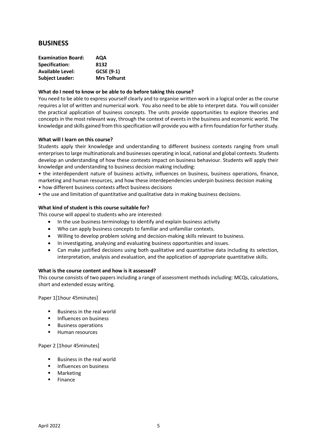## **BUSINESS**

| <b>Examination Board:</b> | <b>AQA</b>          |
|---------------------------|---------------------|
| Specification:            | 8132                |
| <b>Available Level:</b>   | GCSE (9-1)          |
| <b>Subject Leader:</b>    | <b>Mrs Tolhurst</b> |

#### **What do I need to know or be able to do before taking this course?**

You need to be able to express yourself clearly and to organise written work in a logical order as the course requires a lot of written and numerical work. You also need to be able to interpret data. You will consider the practical application of business concepts. The units provide opportunities to explore theories and concepts in the most relevant way, through the context of events in the business and economic world. The knowledge and skills gained from this specification will provide you with a firm foundation for further study.

#### **What will I learn on this course?**

Students apply their knowledge and understanding to different business contexts ranging from small enterprises to large multinationals and businesses operating in local, national and global contexts. Students develop an understanding of how these contexts impact on business behaviour. Students will apply their knowledge and understanding to business decision making including:

• the interdependent nature of business activity, influences on business, business operations, finance, marketing and human resources, and how these interdependencies underpin business decision making • how different business contexts affect business decisions

• the use and limitation of quantitative and qualitative data in making business decisions.

#### **What kind of student is this course suitable for?**

This course will appeal to students who are interested:

- In the use business terminology to identify and explain business activity
- Who can apply business concepts to familiar and unfamiliar contexts.
- Willing to develop problem solving and decision-making skills relevant to business.
- In investigating, analysing and evaluating business opportunities and issues.
- Can make justified decisions using both qualitative and quantitative data including its selection, interpretation, analysis and evaluation, and the application of appropriate quantitative skills.

#### **What is the course content and how is it assessed?**

This course consists of two papers including a range of assessment methods including: MCQs, calculations, short and extended essay writing.

Paper 1[1hour 45minutes]

- Business in the real world
- **■** Influences on business
- Business operations
- Human resources

Paper 2 [1hour 45minutes]

- Business in the real world
- **■** Influences on business
- Marketing
- Finance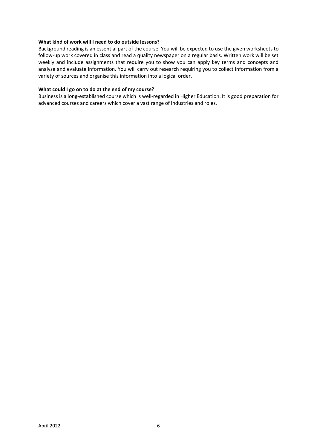#### **What kind of work will I need to do outside lessons?**

Background reading is an essential part of the course. You will be expected to use the given worksheets to follow-up work covered in class and read a quality newspaper on a regular basis. Written work will be set weekly and include assignments that require you to show you can apply key terms and concepts and analyse and evaluate information. You will carry out research requiring you to collect information from a variety of sources and organise this information into a logical order.

#### **What could I go on to do at the end of my course?**

Business is a long-established course which is well-regarded in Higher Education. It is good preparation for advanced courses and careers which cover a vast range of industries and roles.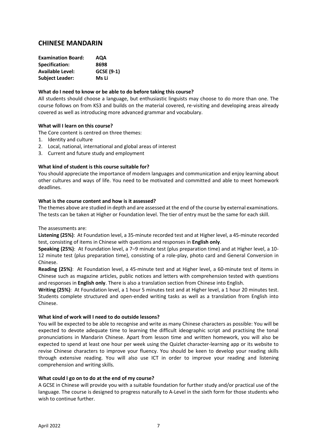## **CHINESE MANDARIN**

| AQA        |
|------------|
| 8698       |
| GCSE (9-1) |
| Ms Li      |
|            |

#### **What do I need to know or be able to do before taking this course?**

All students should choose a language, but enthusiastic linguists may choose to do more than one. The course follows on from KS3 and builds on the material covered, re-visiting and developing areas already covered as well as introducing more advanced grammar and vocabulary.

#### **What will I learn on this course?**

The Core content is centred on three themes:

- 1. Identity and culture
- 2. Local, national, international and global areas of interest
- 3. Current and future study and employment

#### **What kind of student is this course suitable for?**

You should appreciate the importance of modern languages and communication and enjoy learning about other cultures and ways of life. You need to be motivated and committed and able to meet homework deadlines.

#### **What is the course content and how is it assessed?**

The themes above are studied in depth and are assessed at the end of the course by external examinations. The tests can be taken at Higher or Foundation level. The tier of entry must be the same for each skill.

The assessments are:

**Listening (25%)**: At Foundation level, a 35-minute recorded test and at Higher level, a 45-minute recorded test, consisting of items in Chinese with questions and responses in **English only**.

**Speaking (25%)**: At Foundation level, a 7–9 minute test (plus preparation time) and at Higher level, a 10- 12 minute test (plus preparation time), consisting of a role-play, photo card and General Conversion in Chinese.

**Reading (25%)**: At Foundation level, a 45-minute test and at Higher level, a 60-minute test of items in Chinese such as magazine articles, public notices and letters with comprehension tested with questions and responses in **English only**. There is also a translation section from Chinese into English.

**Writing (25%)**: At Foundation level, a 1 hour 5 minutes test and at Higher level, a 1 hour 20 minutes test. Students complete structured and open-ended writing tasks as well as a translation from English into Chinese.

#### **What kind of work will I need to do outside lessons?**

You will be expected to be able to recognise and write as many Chinese characters as possible: You will be expected to devote adequate time to learning the difficult ideographic script and practising the tonal pronunciations in Mandarin Chinese. Apart from lesson time and written homework, you will also be expected to spend at least one hour per week using the Quizlet character-learning app or its website to revise Chinese characters to improve your fluency. You should be keen to develop your reading skills through extensive reading. You will also use ICT in order to improve your reading and listening comprehension and writing skills.

#### **What could I go on to do at the end of my course?**

A GCSE in Chinese will provide you with a suitable foundation for further study and/or practical use of the language. The course is designed to progress naturally to A-Level in the sixth form for those students who wish to continue further.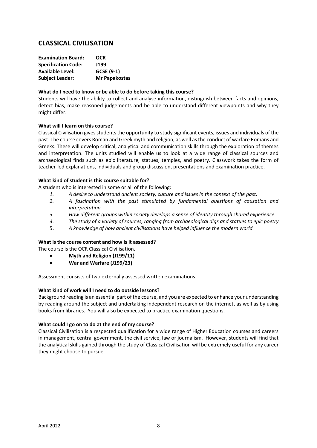## **CLASSICAL CIVILISATION**

| <b>Examination Board:</b>  | <b>OCR</b>    |
|----------------------------|---------------|
| <b>Specification Code:</b> | J199          |
| <b>Available Level:</b>    | GCSE (9-1)    |
| <b>Subject Leader:</b>     | Mr Papakostas |

#### **What do I need to know or be able to do before taking this course?**

Students will have the ability to collect and analyse information, distinguish between facts and opinions, detect bias, make reasoned judgements and be able to understand different viewpoints and why they might differ.

#### **What will I learn on this course?**

Classical Civilisation gives students the opportunity to study significant events, issues and individuals of the past. The course covers Roman and Greek myth and religion, as well as the conduct of warfare Romans and Greeks. These will develop critical, analytical and communication skills through the exploration of themes and interpretation. The units studied will enable us to look at a wide range of classical sources and archaeological finds such as epic literature, statues, temples, and poetry. Classwork takes the form of teacher-led explanations, individuals and group discussion, presentations and examination practice.

#### **What kind of student is this course suitable for?**

A student who is interested in some or all of the following:

- *1. A desire to understand ancient society, culture and issues in the context of the past.*
- *2. A fascination with the past stimulated by fundamental questions of causation and interpretation.*
- *3. How different groups within society develops a sense of identity through shared experience.*
- *4. The study of a variety of sources, ranging from archaeological digs and statues to epic poetry*
- 5. *A knowledge of how ancient civilisations have helped influence the modern world.*

#### **What is the course content and how is it assessed?**

The course is the OCR Classical Civilisation.

- **Myth and Religion (J199/11)**
- **War and Warfare (J199/23)**

Assessment consists of two externally assessed written examinations.

#### **What kind of work will I need to do outside lessons?**

Background reading is an essential part of the course, and you are expected to enhance your understanding by reading around the subject and undertaking independent research on the internet, as well as by using books from libraries. You will also be expected to practice examination questions.

#### **What could I go on to do at the end of my course?**

Classical Civilisation is a respected qualification for a wide range of Higher Education courses and careers in management, central government, the civil service, law or journalism. However, students will find that the analytical skills gained through the study of Classical Civilisation will be extremely useful for any career they might choose to pursue.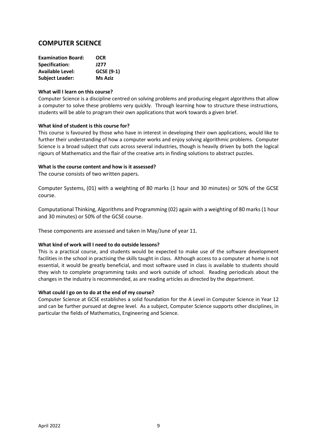## **COMPUTER SCIENCE**

| <b>Examination Board:</b> | <b>OCR</b>        |
|---------------------------|-------------------|
| Specification:            | J277              |
| <b>Available Level:</b>   | <b>GCSE (9-1)</b> |
| <b>Subject Leader:</b>    | <b>Ms Aziz</b>    |

#### **What will I learn on this course?**

Computer Science is a discipline centred on solving problems and producing elegant algorithms that allow a computer to solve these problems very quickly. Through learning how to structure these instructions, students will be able to program their own applications that work towards a given brief.

#### **What kind of student is this course for?**

This course is favoured by those who have in interest in developing their own applications, would like to further their understanding of how a computer works and enjoy solving algorithmic problems. Computer Science is a broad subject that cuts across several industries, though is heavily driven by both the logical rigours of Mathematics and the flair of the creative arts in finding solutions to abstract puzzles.

#### **What is the course content and how is it assessed?**

The course consists of two written papers.

Computer Systems, (01) with a weighting of 80 marks (1 hour and 30 minutes) or 50% of the GCSE course.

Computational Thinking, Algorithms and Programming (02) again with a weighting of 80 marks (1 hour and 30 minutes) or 50% of the GCSE course.

These components are assessed and taken in May/June of year 11.

#### **What kind of work will I need to do outside lessons?**

This is a practical course, and students would be expected to make use of the software development facilities in the school in practising the skills taught in class. Although access to a computer at home is not essential, it would be greatly beneficial, and most software used in class is available to students should they wish to complete programming tasks and work outside of school. Reading periodicals about the changes in the industry is recommended, as are reading articles as directed by the department.

#### **What could I go on to do at the end of my course?**

Computer Science at GCSE establishes a solid foundation for the A Level in Computer Science in Year 12 and can be further pursued at degree level. As a subject, Computer Science supports other disciplines, in particular the fields of Mathematics, Engineering and Science.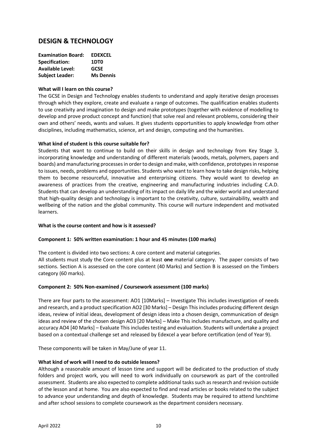## **DESIGN & TECHNOLOGY**

| <b>Examination Board:</b> | <b>EDEXCEL</b>   |
|---------------------------|------------------|
| <b>Specification:</b>     | <b>1DTO</b>      |
| <b>Available Level:</b>   | <b>GCSE</b>      |
| <b>Subject Leader:</b>    | <b>Ms Dennis</b> |

#### **What will I learn on this course?**

The GCSE in Design and Technology enables students to understand and apply iterative design processes through which they explore, create and evaluate a range of outcomes. The qualification enables students to use creativity and imagination to design and make prototypes (together with evidence of modelling to develop and prove product concept and function) that solve real and relevant problems, considering their own and others' needs, wants and values. It gives students opportunities to apply knowledge from other disciplines, including mathematics, science, art and design, computing and the humanities.

#### **What kind of student is this course suitable for?**

Students that want to continue to build on their skills in design and technology from Key Stage 3, incorporating knowledge and understanding of different materials (woods, metals, polymers, papers and boards) and manufacturing processes in order to design and make, with confidence, prototypes in response to issues, needs, problems and opportunities. Students who want to learn how to take design risks, helping them to become resourceful, innovative and enterprising citizens. They would want to develop an awareness of practices from the creative, engineering and manufacturing industries including C.A.D. Students that can develop an understanding of its impact on daily life and the wider world and understand that high-quality design and technology is important to the creativity, culture, sustainability, wealth and wellbeing of the nation and the global community. This course will nurture independent and motivated learners.

#### **What is the course content and how is it assessed?**

#### **Component 1: 50% written examination: 1 hour and 45 minutes (100 marks)**

The content is divided into two sections: A core content and material categories. All students must study the Core content plus at least **one** material category. The paper consists of two sections. Section A is assessed on the core content (40 Marks) and Section B is assessed on the Timbers category (60 marks).

#### **Component 2: 50% Non-examined / Coursework assessment (100 marks)**

There are four parts to the assessment: AO1 [10Marks] – Investigate This includes investigation of needs and research, and a product specification AO2 [30 Marks] – Design This includes producing different design ideas, review of initial ideas, development of design ideas into a chosen design, communication of design ideas and review of the chosen design AO3 [20 Marks] – Make This includes manufacture, and quality and accuracy AO4 [40 Marks] – Evaluate This includes testing and evaluation. Students will undertake a project based on a contextual challenge set and released by Edexcel a year before certification (end of Year 9).

These components will be taken in May/June of year 11.

#### **What kind of work will I need to do outside lessons?**

Although a reasonable amount of lesson time and support will be dedicated to the production of study folders and project work, you will need to work individually on coursework as part of the controlled assessment. Students are also expected to complete additional tasks such as research and revision outside of the lesson and at home. You are also expected to find and read articles or books related to the subject to advance your understanding and depth of knowledge. Students may be required to attend lunchtime and after school sessions to complete coursework as the department considers necessary.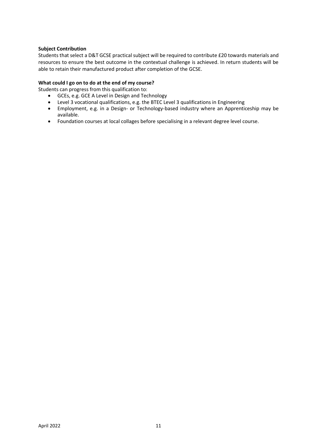#### **Subject Contribution**

Students that select a D&T GCSE practical subject will be required to contribute £20 towards materials and resources to ensure the best outcome in the contextual challenge is achieved. In return students will be able to retain their manufactured product after completion of the GCSE.

#### **What could I go on to do at the end of my course?**

Students can progress from this qualification to:

- GCEs, e.g. GCE A Level in Design and Technology
- Level 3 vocational qualifications, e.g. the BTEC Level 3 qualifications in Engineering
- Employment, e.g. in a Design- or Technology-based industry where an Apprenticeship may be available.
- Foundation courses at local collages before specialising in a relevant degree level course.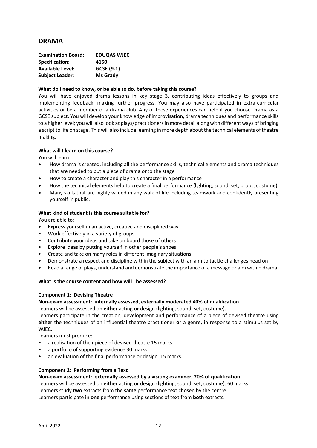## **DRAMA**

| <b>Examination Board:</b> | <b>EDUQAS WJEC</b> |
|---------------------------|--------------------|
| <b>Specification:</b>     | 4150               |
| <b>Available Level:</b>   | GCSE (9-1)         |
| <b>Subject Leader:</b>    | <b>Ms Grady</b>    |

#### **What do I need to know, or be able to do, before taking this course?**

You will have enjoyed drama lessons in key stage 3, contributing ideas effectively to groups and implementing feedback, making further progress. You may also have participated in extra-curricular activities or be a member of a drama club. Any of these experiences can help if you choose Drama as a GCSE subject. You will develop your knowledge of improvisation, drama techniques and performance skills to a higher level; you will also look at plays/practitioners in more detail along with different ways of bringing a script to life on stage. This will also include learning in more depth about the technical elements of theatre making.

#### **What will I learn on this course?**

You will learn:

- How drama is created, including all the performance skills, technical elements and drama techniques that are needed to put a piece of drama onto the stage
- How to create a character and play this character in a performance
- How the technical elements help to create a final performance (lighting, sound, set, props, costume)
- Many skills that are highly valued in any walk of life including teamwork and confidently presenting yourself in public.

#### **What kind of student is this course suitable for?**

You are able to:

- Express yourself in an active, creative and disciplined way
- Work effectively in a variety of groups
- Contribute your ideas and take on board those of others
- Explore ideas by putting yourself in other people's shoes
- Create and take on many roles in different imaginary situations
- Demonstrate a respect and discipline within the subject with an aim to tackle challenges head on
- Read a range of plays, understand and demonstrate the importance of a message or aim within drama.

#### **What is the course content and how will I be assessed?**

#### **Component 1: Devising Theatre**

#### **Non-exam assessment: internally assessed, externally moderated 40% of qualification**

Learners will be assessed on **either** acting **or** design (lighting, sound, set, costume).

Learners participate in the creation, development and performance of a piece of devised theatre using **either** the techniques of an influential theatre practitioner **or** a genre, in response to a stimulus set by WJEC.

Learners must produce:

- a realisation of their piece of devised theatre 15 marks
- a portfolio of supporting evidence 30 marks
- an evaluation of the final performance or design. 15 marks.

#### **Component 2: Performing from a Text**

#### **Non-exam assessment: externally assessed by a visiting examiner, 20% of qualification**

Learners will be assessed on **either** acting **or** design (lighting, sound, set, costume). 60 marks Learners study **two** extracts from the **same** performance text chosen by the centre. Learners participate in **one** performance using sections of text from **both** extracts.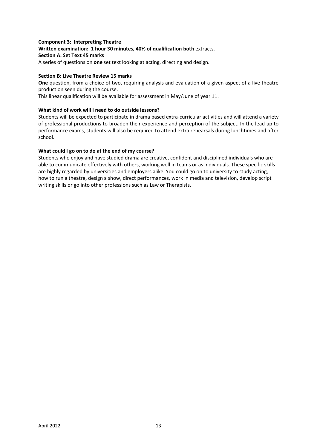#### **Component 3: Interpreting Theatre Written examination: 1 hour 30 minutes, 40% of qualification both** extracts. **Section A: Set Text 45 marks**  A series of questions on **one** set text looking at acting, directing and design.

#### **Section B: Live Theatre Review 15 marks**

**One** question, from a choice of two, requiring analysis and evaluation of a given aspect of a live theatre production seen during the course.

This linear qualification will be available for assessment in May/June of year 11.

#### **What kind of work will I need to do outside lessons?**

Students will be expected to participate in drama based extra-curricular activities and will attend a variety of professional productions to broaden their experience and perception of the subject. In the lead up to performance exams, students will also be required to attend extra rehearsals during lunchtimes and after school.

#### **What could I go on to do at the end of my course?**

Students who enjoy and have studied drama are creative, confident and disciplined individuals who are able to communicate effectively with others, working well in teams or as individuals. These specific skills are highly regarded by universities and employers alike. You could go on to university to study acting, how to run a theatre, design a show, direct performances, work in media and television, develop script writing skills or go into other professions such as Law or Therapists.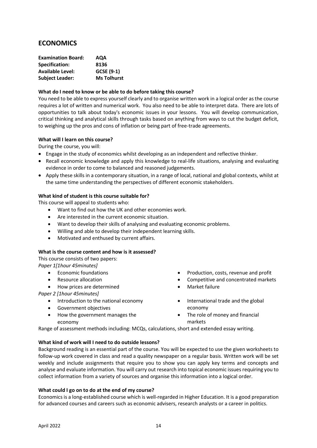## **ECONOMICS**

| <b>Examination Board:</b> | AQA                |
|---------------------------|--------------------|
| Specification:            | 8136               |
| <b>Available Level:</b>   | GCSE (9-1)         |
| <b>Subject Leader:</b>    | <b>Ms Tolhurst</b> |

#### **What do I need to know or be able to do before taking this course?**

You need to be able to express yourself clearly and to organise written work in a logical order as the course requires a lot of written and numerical work. You also need to be able to interpret data. There are lots of opportunities to talk about today's economic issues in your lessons. You will develop communication, critical thinking and analytical skills through tasks based on anything from ways to cut the budget deficit, to weighing up the pros and cons of inflation or being part of free-trade agreements.

#### **What will I learn on this course?**

During the course, you will:

- Engage in the study of economics whilst developing as an independent and reflective thinker.
- Recall economic knowledge and apply this knowledge to real-life situations, analysing and evaluating evidence in order to come to balanced and reasoned judgements.
- Apply these skills in a contemporary situation, in a range of local, national and global contexts, whilst at the same time understanding the perspectives of different economic stakeholders.

#### **What kind of student is this course suitable for?**

This course will appeal to students who:

- Want to find out how the UK and other economies work.
- Are interested in the current economic situation.
- Want to develop their skills of analysing and evaluating economic problems.
- Willing and able to develop their independent learning skills.
- Motivated and enthused by current affairs.

#### **What is the course content and how is it assessed?**

This course consists of two papers:

*Paper 1[1hour 45minutes]*

- Economic foundations
- Resource allocation
	- How prices are determined

*Paper 2 [1hour 45minutes]*

- Introduction to the national economy
- Government objectives
- How the government manages the economy
- Production, costs, revenue and profit
- Competitive and concentrated markets
- Market failure
- International trade and the global economy
- The role of money and financial markets

Range of assessment methods including: MCQs, calculations, short and extended essay writing.

#### **What kind of work will I need to do outside lessons?**

Background reading is an essential part of the course. You will be expected to use the given worksheets to follow-up work covered in class and read a quality newspaper on a regular basis. Written work will be set weekly and include assignments that require you to show you can apply key terms and concepts and analyse and evaluate information. You will carry out research into topical economic issues requiring you to collect information from a variety of sources and organise this information into a logical order.

#### **What could I go on to do at the end of my course?**

Economics is a long-established course which is well-regarded in Higher Education. It is a good preparation for advanced courses and careers such as economic advisers, research analysts or a career in politics.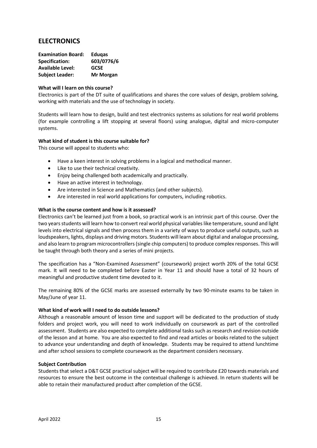## **ELECTRONICS**

| <b>Examination Board:</b> | <b>Edugas</b>    |
|---------------------------|------------------|
| <b>Specification:</b>     | 603/0776/6       |
| <b>Available Level:</b>   | <b>GCSE</b>      |
| <b>Subject Leader:</b>    | <b>Mr Morgan</b> |

#### **What will I learn on this course?**

Electronics is part of the DT suite of qualifications and shares the core values of design, problem solving, working with materials and the use of technology in society.

Students will learn how to design, build and test electronics systems as solutions for real world problems (for example controlling a lift stopping at several floors) using analogue, digital and micro-computer systems.

#### **What kind of student is this course suitable for?**

This course will appeal to students who:

- Have a keen interest in solving problems in a logical and methodical manner.
- Like to use their technical creativity.
- Enjoy being challenged both academically and practically.
- Have an active interest in technology.
- Are interested in Science and Mathematics (and other subjects).
- Are interested in real world applications for computers, including robotics.

#### **What is the course content and how is it assessed?**

Electronics can't be learned just from a book, so practical work is an intrinsic part of this course. Over the two years students will learn how to convert real world physical variables like temperature, sound and light levels into electrical signals and then process them in a variety of ways to produce useful outputs, such as loudspeakers, lights, displays and driving motors. Students will learn about digital and analogue processing, and also learn to program microcontrollers (single chip computers) to produce complex responses. This will be taught through both theory and a series of mini projects.

The specification has a "Non-Examined Assessment" (coursework) project worth 20% of the total GCSE mark. It will need to be completed before Easter in Year 11 and should have a total of 32 hours of meaningful and productive student time devoted to it.

The remaining 80% of the GCSE marks are assessed externally by two 90-minute exams to be taken in May/June of year 11.

#### **What kind of work will I need to do outside lessons?**

Although a reasonable amount of lesson time and support will be dedicated to the production of study folders and project work, you will need to work individually on coursework as part of the controlled assessment. Students are also expected to complete additional tasks such as research and revision outside of the lesson and at home. You are also expected to find and read articles or books related to the subject to advance your understanding and depth of knowledge. Students may be required to attend lunchtime and after school sessions to complete coursework as the department considers necessary.

#### **Subject Contribution**

Students that select a D&T GCSE practical subject will be required to contribute £20 towards materials and resources to ensure the best outcome in the contextual challenge is achieved. In return students will be able to retain their manufactured product after completion of the GCSE.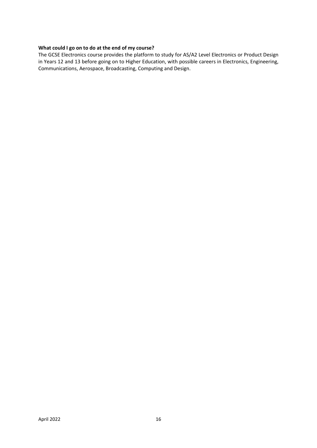#### **What could I go on to do at the end of my course?**

The GCSE Electronics course provides the platform to study for AS/A2 Level Electronics or Product Design in Years 12 and 13 before going on to Higher Education, with possible careers in Electronics, Engineering, Communications, Aerospace, Broadcasting, Computing and Design.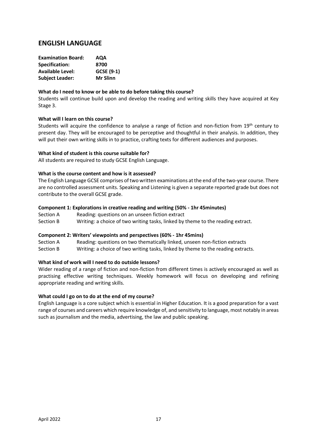## **ENGLISH LANGUAGE**

| AQA             |
|-----------------|
| 8700            |
| GCSE (9-1)      |
| <b>Mr Slinn</b> |
|                 |

#### **What do I need to know or be able to do before taking this course?**

Students will continue build upon and develop the reading and writing skills they have acquired at Key Stage 3.

#### **What will I learn on this course?**

Students will acquire the confidence to analyse a range of fiction and non-fiction from 19<sup>th</sup> century to present day. They will be encouraged to be perceptive and thoughtful in their analysis. In addition, they will put their own writing skills in to practice, crafting texts for different audiences and purposes.

#### **What kind of student is this course suitable for?**

All students are required to study GCSE English Language.

#### **What is the course content and how is it assessed?**

The English Language GCSE comprises of two written examinations at the end of the two-year course. There are no controlled assessment units. Speaking and Listening is given a separate reported grade but does not contribute to the overall GCSE grade.

#### **Component 1: Explorations in creative reading and writing (50% - 1hr 45minutes)**

Section A Reading: questions on an unseen fiction extract

Section B Writing: a choice of two writing tasks, linked by theme to the reading extract.

#### **Component 2: Writers' viewpoints and perspectives (60% - 1hr 45mins)**

Section A Reading: questions on two thematically linked, unseen non-fiction extracts Section B Writing: a choice of two writing tasks, linked by theme to the reading extracts.

#### **What kind of work will I need to do outside lessons?**

Wider reading of a range of fiction and non-fiction from different times is actively encouraged as well as practising effective writing techniques. Weekly homework will focus on developing and refining appropriate reading and writing skills.

#### **What could I go on to do at the end of my course?**

English Language is a core subject which is essential in Higher Education. It is a good preparation for a vast range of courses and careers which require knowledge of, and sensitivity to language, most notably in areas such as journalism and the media, advertising, the law and public speaking.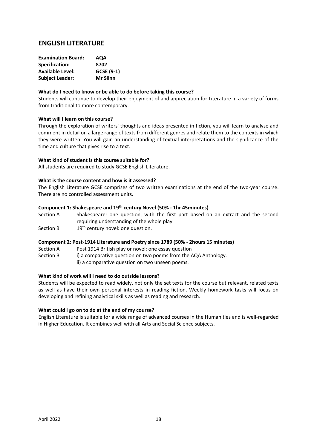## **ENGLISH LITERATURE**

| AQA             |
|-----------------|
| 8702            |
| GCSE (9-1)      |
| <b>Mr Slinn</b> |
|                 |

#### **What do I need to know or be able to do before taking this course?**

Students will continue to develop their enjoyment of and appreciation for Literature in a variety of forms from traditional to more contemporary.

#### **What will I learn on this course?**

Through the exploration of writers' thoughts and ideas presented in fiction, you will learn to analyse and comment in detail on a large range of texts from different genres and relate them to the contexts in which they were written. You will gain an understanding of textual interpretations and the significance of the time and culture that gives rise to a text.

#### **What kind of student is this course suitable for?**

All students are required to study GCSE English Literature.

#### **What is the course content and how is it assessed?**

The English Literature GCSE comprises of two written examinations at the end of the two-year course. There are no controlled assessment units.

#### **Component 1: Shakespeare and 19th century Novel (50% - 1hr 45minutes)**

Section A Shakespeare: one question, with the first part based on an extract and the second requiring understanding of the whole play.

Section B  $19<sup>th</sup>$  century novel: one question.

#### **Component 2: Post-1914 Literature and Poetry since 1789 (50% - 2hours 15 minutes)**

Section A Post 1914 British play or novel: one essay question

- Section B i) a comparative question on two poems from the AQA Anthology.
	- ii) a comparative question on two unseen poems.

#### **What kind of work will I need to do outside lessons?**

Students will be expected to read widely, not only the set texts for the course but relevant, related texts as well as have their own personal interests in reading fiction. Weekly homework tasks will focus on developing and refining analytical skills as well as reading and research.

#### **What could I go on to do at the end of my course?**

English Literature is suitable for a wide range of advanced courses in the Humanities and is well-regarded in Higher Education. It combines well with all Arts and Social Science subjects.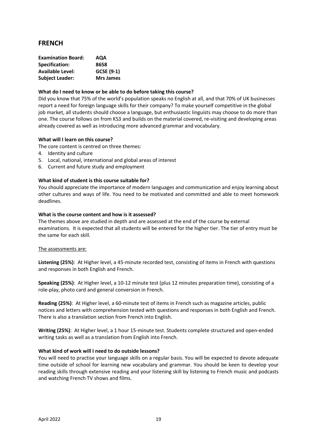## **FRENCH**

| <b>Examination Board:</b> | AQA              |
|---------------------------|------------------|
| <b>Specification:</b>     | 8658             |
| <b>Available Level:</b>   | GCSE (9-1)       |
| <b>Subject Leader:</b>    | <b>Mrs James</b> |

#### **What do I need to know or be able to do before taking this course?**

Did you know that 75% of the world's population speaks no English at all, and that 70% of UK businesses report a need for foreign language skills for their company? To make yourself competitive in the global job market, all students should choose a language, but enthusiastic linguists may choose to do more than one. The course follows on from KS3 and builds on the material covered, re-visiting and developing areas already covered as well as introducing more advanced grammar and vocabulary.

#### **What will I learn on this course?**

The core content is centred on three themes:

- 4. Identity and culture
- 5. Local, national, international and global areas of interest
- 6. Current and future study and employment

#### **What kind of student is this course suitable for?**

You should appreciate the importance of modern languages and communication and enjoy learning about other cultures and ways of life. You need to be motivated and committed and able to meet homework deadlines.

#### **What is the course content and how is it assessed?**

The themes above are studied in depth and are assessed at the end of the course by external examinations. It is expected that all students will be entered for the higher tier. The tier of entry must be the same for each skill.

#### The assessments are:

**Listening (25%)**: At Higher level, a 45-minute recorded test, consisting of items in French with questions and responses in both English and French.

**Speaking (25%)**: At Higher level, a 10-12 minute test (plus 12 minutes preparation time), consisting of a role-play, photo card and general conversion in French.

**Reading (25%)**: At Higher level, a 60-minute test of items in French such as magazine articles, public notices and letters with comprehension tested with questions and responses in both English and French. There is also a translation section from French into English.

**Writing (25%)**: At Higher level, a 1 hour 15-minute test. Students complete structured and open-ended writing tasks as well as a translation from English into French.

#### **What kind of work will I need to do outside lessons?**

You will need to practise your language skills on a regular basis. You will be expected to devote adequate time outside of school for learning new vocabulary and grammar. You should be keen to develop your reading skills through extensive reading and your listening skill by listening to French music and podcasts and watching French TV shows and films.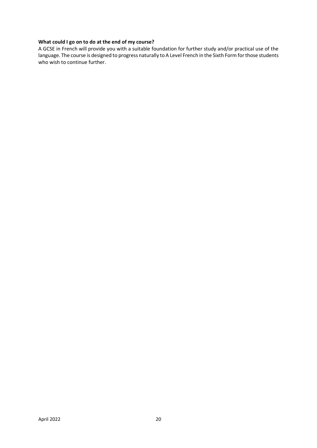#### **What could I go on to do at the end of my course?**

A GCSE in French will provide you with a suitable foundation for further study and/or practical use of the language. The course is designed to progress naturally to A Level French in the Sixth Form for those students who wish to continue further.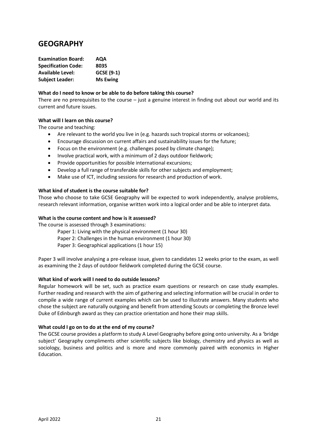## **GEOGRAPHY**

| <b>Examination Board:</b>  | AQA             |
|----------------------------|-----------------|
| <b>Specification Code:</b> | 8035            |
| <b>Available Level:</b>    | GCSE (9-1)      |
| <b>Subject Leader:</b>     | <b>Ms Ewing</b> |

#### **What do I need to know or be able to do before taking this course?**

There are no prerequisites to the course  $-$  just a genuine interest in finding out about our world and its current and future issues.

#### **What will I learn on this course?**

The course and teaching:

- Are relevant to the world you live in (e.g. hazards such tropical storms or volcanoes);
- Encourage discussion on current affairs and sustainability issues for the future;
- Focus on the environment (e.g. challenges posed by climate change);
- Involve practical work, with a minimum of 2 days outdoor fieldwork;
- Provide opportunities for possible international excursions;
- Develop a full range of transferable skills for other subjects and employment;
- Make use of ICT, including sessions for research and production of work.

#### **What kind of student is the course suitable for?**

Those who choose to take GCSE Geography will be expected to work independently, analyse problems, research relevant information, organise written work into a logical order and be able to interpret data.

#### **What is the course content and how is it assessed?**

The course is assessed through 3 examinations:

Paper 1: Living with the physical environment (1 hour 30) Paper 2: Challenges in the human environment (1 hour 30) Paper 3: Geographical applications (1 hour 15)

Paper 3 will involve analysing a pre-release issue, given to candidates 12 weeks prior to the exam, as well as examining the 2 days of outdoor fieldwork completed during the GCSE course.

#### **What kind of work will I need to do outside lessons?**

Regular homework will be set, such as practice exam questions or research on case study examples. Further reading and research with the aim of gathering and selecting information will be crucial in order to compile a wide range of current examples which can be used to illustrate answers. Many students who chose the subject are naturally outgoing and benefit from attending Scouts or completing the Bronze level Duke of Edinburgh award as they can practice orientation and hone their map skills.

#### **What could I go on to do at the end of my course?**

The GCSE course provides a platform to study A Level Geography before going onto university. As a 'bridge subject' Geography compliments other scientific subjects like biology, chemistry and physics as well as sociology, business and politics and is more and more commonly paired with economics in Higher Education.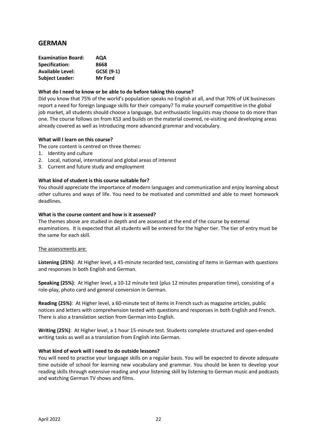## **GERMAN**

| <b>Examination Board:</b> | AQA            |
|---------------------------|----------------|
| <b>Specification:</b>     | 8668           |
| <b>Available Level:</b>   | GCSE (9-1)     |
| <b>Subject Leader:</b>    | <b>Mr Ford</b> |

#### **What do I need to know or be able to do before taking this course?**

Did you know that 75% of the world's population speaks no English at all, and that 70% of UK businesses report a need for foreign language skills for their company? To make yourself competitive in the global job market, all students should choose a language, but enthusiastic linguists may choose to do more than one. The course follows on from KS3 and builds on the material covered, re-visiting and developing areas already covered as well as introducing more advanced grammar and vocabulary.

#### **What will I learn on this course?**

The core content is centred on three themes:

- 1. Identity and culture
- 2. Local, national, international and global areas of interest
- 3. Current and future study and employment

#### **What kind of student is this course suitable for?**

You should appreciate the importance of modern languages and communication and enjoy learning about other cultures and ways of life. You need to be motivated and committed and able to meet homework deadlines.

#### **What is the course content and how is it assessed?**

The themes above are studied in depth and are assessed at the end of the course by external examinations. It is expected that all students will be entered for the higher tier. The tier of entry must be the same for each skill.

#### The assessments are:

**Listening (25%)**: At Higher level, a 45-minute recorded test, consisting of items in German with questions and responses in both English and German.

**Speaking (25%)**: At Higher level, a 10-12 minute test (plus 12 minutes preparation time), consisting of a role-play, photo card and general conversion in German.

**Reading (25%)**: At Higher level, a 60-minute test of items in French such as magazine articles, public notices and letters with comprehension tested with questions and responses in both English and French. There is also a translation section from German into English.

**Writing (25%)**: At Higher level, a 1 hour 15-minute test. Students complete structured and open-ended writing tasks as well as a translation from English into German.

#### **What kind of work will I need to do outside lessons?**

You will need to practise your language skills on a regular basis. You will be expected to devote adequate time outside of school for learning new vocabulary and grammar. You should be keen to develop your reading skills through extensive reading and your listening skill by listening to German music and podcasts and watching German TV shows and films.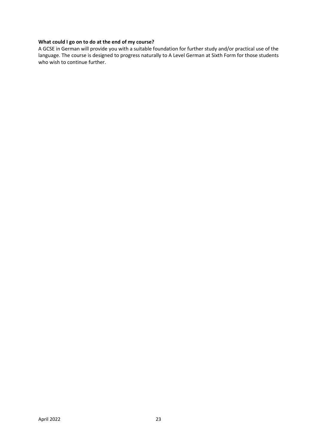#### **What could I go on to do at the end of my course?**

A GCSE in German will provide you with a suitable foundation for further study and/or practical use of the language. The course is designed to progress naturally to A Level German at Sixth Form for those students who wish to continue further.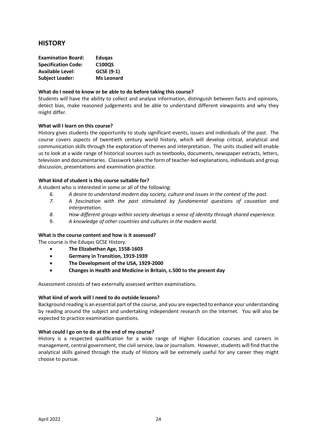## **HISTORY**

| <b>Edugas</b>     |
|-------------------|
| C100QS            |
| GCSE (9-1)        |
| <b>Ms Leonard</b> |
|                   |

#### **What do I need to know or be able to do before taking this course?**

Students will have the ability to collect and analyse information, distinguish between facts and opinions, detect bias, make reasoned judgements and be able to understand different viewpoints and why they might differ.

#### **What will I learn on this course?**

History gives students the opportunity to study significant events, issues and individuals of the past. The course covers aspects of twentieth century world history, which will develop critical, analytical and communication skills through the exploration of themes and interpretation. The units studied will enable us to look at a wide range of historical sources such as textbooks, documents, newspaper extracts, letters, television and documentaries. Classwork takes the form of teacher-led explanations, individuals and group discussion, presentations and examination practice.

#### **What kind of student is this course suitable for?**

A student who is interested in some or all of the following:

- *6. A desire to understand modern day society, culture and issues in the context of the past.*
- *7. A fascination with the past stimulated by fundamental questions of causation and interpretation.*
- *8. How different groups within society develops a sense of identity through shared experience.*
- 9. *A knowledge of other countries and cultures in the modern world.*

#### **What is the course content and how is it assessed?**

The course is the Eduqas GCSE History.

- **The Elizabethan Age, 1558-1603**
- **Germany in Transition, 1919-1939**
- **The Development of the USA, 1929-2000**
- **Changes in Health and Medicine in Britain, c.500 to the present day**

Assessment consists of two externally assessed written examinations.

#### **What kind of work will I need to do outside lessons?**

Background reading is an essential part of the course, and you are expected to enhance your understanding by reading around the subject and undertaking independent research on the internet. You will also be expected to practice examination questions.

#### **What could I go on to do at the end of my course?**

History is a respected qualification for a wide range of Higher Education courses and careers in management, central government, the civil service, law or journalism. However, students will find that the analytical skills gained through the study of History will be extremely useful for any career they might choose to pursue.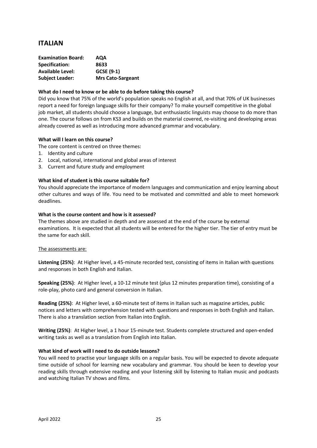## **ITALIAN**

| <b>Examination Board:</b> | <b>AQA</b>               |
|---------------------------|--------------------------|
| Specification:            | 8633                     |
| <b>Available Level:</b>   | GCSE (9-1)               |
| <b>Subject Leader:</b>    | <b>Mrs Cato-Sargeant</b> |

#### **What do I need to know or be able to do before taking this course?**

Did you know that 75% of the world's population speaks no English at all, and that 70% of UK businesses report a need for foreign language skills for their company? To make yourself competitive in the global job market, all students should choose a language, but enthusiastic linguists may choose to do more than one. The course follows on from KS3 and builds on the material covered, re-visiting and developing areas already covered as well as introducing more advanced grammar and vocabulary.

#### **What will I learn on this course?**

The core content is centred on three themes:

- 1. Identity and culture
- 2. Local, national, international and global areas of interest
- 3. Current and future study and employment

#### **What kind of student is this course suitable for?**

You should appreciate the importance of modern languages and communication and enjoy learning about other cultures and ways of life. You need to be motivated and committed and able to meet homework deadlines.

#### **What is the course content and how is it assessed?**

The themes above are studied in depth and are assessed at the end of the course by external examinations. It is expected that all students will be entered for the higher tier. The tier of entry must be the same for each skill.

#### The assessments are:

**Listening (25%)**: At Higher level, a 45-minute recorded test, consisting of items in Italian with questions and responses in both English and Italian.

**Speaking (25%)**: At Higher level, a 10-12 minute test (plus 12 minutes preparation time), consisting of a role-play, photo card and general conversion in Italian.

**Reading (25%)**: At Higher level, a 60-minute test of items in Italian such as magazine articles, public notices and letters with comprehension tested with questions and responses in both English and Italian. There is also a translation section from Italian into English.

**Writing (25%)**: At Higher level, a 1 hour 15-minute test. Students complete structured and open-ended writing tasks as well as a translation from English into Italian.

#### **What kind of work will I need to do outside lessons?**

You will need to practise your language skills on a regular basis. You will be expected to devote adequate time outside of school for learning new vocabulary and grammar. You should be keen to develop your reading skills through extensive reading and your listening skill by listening to Italian music and podcasts and watching Italian TV shows and films.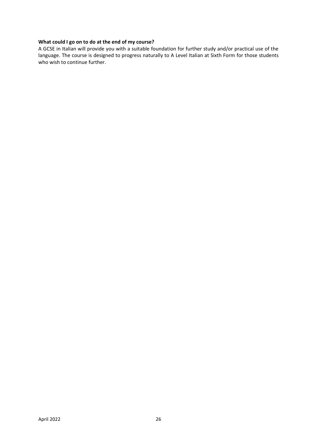#### **What could I go on to do at the end of my course?**

A GCSE in Italian will provide you with a suitable foundation for further study and/or practical use of the language. The course is designed to progress naturally to A Level Italian at Sixth Form for those students who wish to continue further.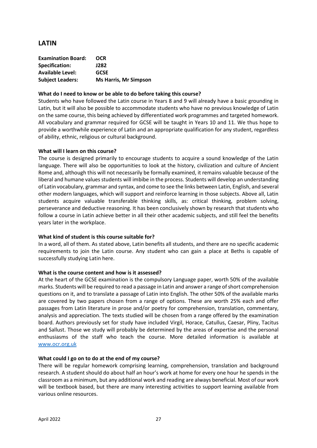## **LATIN**

| <b>Examination Board:</b> | <b>OCR</b>                   |
|---------------------------|------------------------------|
| Specification:            | J282                         |
| <b>Available Level:</b>   | <b>GCSE</b>                  |
| <b>Subject Leaders:</b>   | <b>Ms Harris, Mr Simpson</b> |

#### **What do I need to know or be able to do before taking this course?**

Students who have followed the Latin course in Years 8 and 9 will already have a basic grounding in Latin, but it will also be possible to accommodate students who have no previous knowledge of Latin on the same course, this being achieved by differentiated work programmes and targeted homework. All vocabulary and grammar required for GCSE will be taught in Years 10 and 11. We thus hope to provide a worthwhile experience of Latin and an appropriate qualification for any student, regardless of ability, ethnic, religious or cultural background.

#### **What will I learn on this course?**

The course is designed primarily to encourage students to acquire a sound knowledge of the Latin language. There will also be opportunities to look at the history, civilization and culture of Ancient Rome and, although this will not necessarily be formally examined, it remains valuable because of the liberal and humane values students will imbibe in the process. Students will develop an understanding of Latin vocabulary, grammar and syntax, and come to see the links between Latin, English, and several other modern languages, which will support and reinforce learning in those subjects. Above all, Latin students acquire valuable transferable thinking skills, as: critical thinking, problem solving, perseverance and deductive reasoning. It has been conclusively shown by research that students who follow a course in Latin achieve better in all their other academic subjects, and still feel the benefits years later in the workplace.

#### **What kind of student is this course suitable for?**

In a word, all of them. As stated above, Latin benefits all students, and there are no specific academic requirements to join the Latin course. Any student who can gain a place at Beths is capable of successfully studying Latin here.

#### **What is the course content and how is it assessed?**

At the heart of the GCSE examination is the compulsory Language paper, worth 50% of the available marks. Students will be required to read a passage in Latin and answer a range of short comprehension questions on it, and to translate a passage of Latin into English. The other 50% of the available marks are covered by two papers chosen from a range of options. These are worth 25% each and offer passages from Latin literature in prose and/or poetry for comprehension, translation, commentary, analysis and appreciation. The texts studied will be chosen from a range offered by the examination board. Authors previously set for study have included Virgil, Horace, Catullus, Caesar, Pliny, Tacitus and Sallust. Those we study will probably be determined by the areas of expertise and the personal enthusiasms of the staff who teach the course. More detailed information is available at [www.ocr.org.uk](http://www.ocr.org.uk/)

#### **What could I go on to do at the end of my course?**

There will be regular homework comprising learning, comprehension, translation and background research. A student should do about half an hour's work at home for every one hour he spends in the classroom as a minimum, but any additional work and reading are always beneficial. Most of our work will be textbook based, but there are many interesting activities to support learning available from various online resources.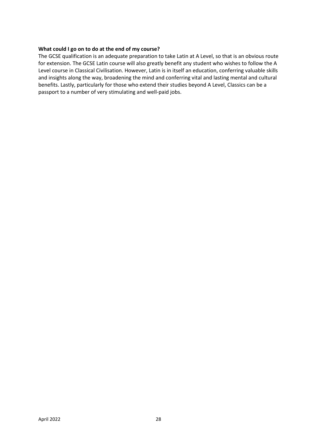#### **What could I go on to do at the end of my course?**

The GCSE qualification is an adequate preparation to take Latin at A Level, so that is an obvious route for extension. The GCSE Latin course will also greatly benefit any student who wishes to follow the A Level course in Classical Civilisation. However, Latin is in itself an education, conferring valuable skills and insights along the way, broadening the mind and conferring vital and lasting mental and cultural benefits. Lastly, particularly for those who extend their studies beyond A Level, Classics can be a passport to a number of very stimulating and well-paid jobs.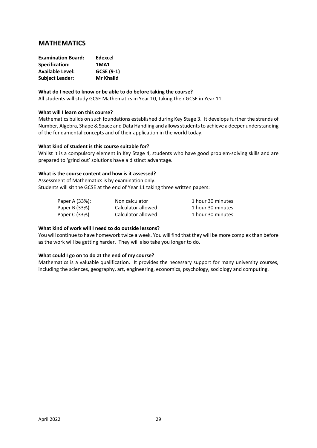## **MATHEMATICS**

| <b>Examination Board:</b> | Edexcel          |
|---------------------------|------------------|
| <b>Specification:</b>     | <b>1MA1</b>      |
| <b>Available Level:</b>   | GCSE (9-1)       |
| <b>Subject Leader:</b>    | <b>Mr Khalid</b> |

#### **What do I need to know or be able to do before taking the course?**

All students will study GCSE Mathematics in Year 10, taking their GCSE in Year 11.

#### **What will I learn on this course?**

Mathematics builds on such foundations established during Key Stage 3. It develops further the strands of Number, Algebra, Shape & Space and Data Handling and allows students to achieve a deeper understanding of the fundamental concepts and of their application in the world today.

#### **What kind of student is this course suitable for?**

Whilst it is a compulsory element in Key Stage 4, students who have good problem-solving skills and are prepared to 'grind out' solutions have a distinct advantage.

#### **What is the course content and how is it assessed?**

Assessment of Mathematics is by examination only. Students will sit the GCSE at the end of Year 11 taking three written papers:

| Paper A (33%): | Non calculator     | 1 hour 30 minutes |
|----------------|--------------------|-------------------|
| Paper B (33%)  | Calculator allowed | 1 hour 30 minutes |
| Paper C (33%)  | Calculator allowed | 1 hour 30 minutes |

#### **What kind of work will I need to do outside lessons?**

You will continue to have homework twice a week. You will find that they will be more complex than before as the work will be getting harder. They will also take you longer to do.

#### **What could I go on to do at the end of my course?**

Mathematics is a valuable qualification. It provides the necessary support for many university courses, including the sciences, geography, art, engineering, economics, psychology, sociology and computing.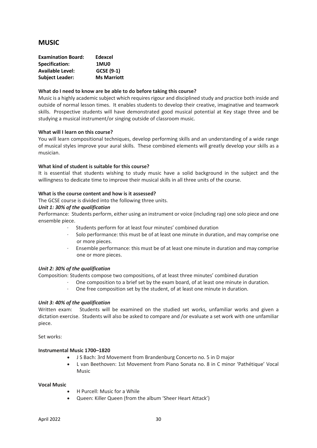## **MUSIC**

| <b>Examination Board:</b> | Edexcel            |
|---------------------------|--------------------|
| Specification:            | 1MU0               |
| <b>Available Level:</b>   | GCSE (9-1)         |
| <b>Subject Leader:</b>    | <b>Ms Marriott</b> |

#### **What do I need to know are be able to do before taking this course?**

Music is a highly academic subject which requires rigour and disciplined study and practice both inside and outside of normal lesson times. It enables students to develop their creative, imaginative and teamwork skills. Prospective students will have demonstrated good musical potential at Key stage three and be studying a musical instrument/or singing outside of classroom music.

#### **What will I learn on this course?**

You will learn compositional techniques, develop performing skills and an understanding of a wide range of musical styles improve your aural skills. These combined elements will greatly develop your skills as a musician.

#### **What kind of student is suitable for this course?**

It is essential that students wishing to study music have a solid background in the subject and the willingness to dedicate time to improve their musical skills in all three units of the course.

#### **What is the course content and how is it assessed?**

The GCSE course is divided into the following three units.

#### *Unit 1: 30% of the qualification*

Performance: Students perform, either using an instrument or voice (including rap) one solo piece and one ensemble piece.

- Students perform for at least four minutes' combined duration
- Solo performance: this must be of at least one minute in duration, and may comprise one or more pieces.
- · Ensemble performance: this must be of at least one minute in duration and may comprise one or more pieces.

#### *Unit 2: 30% of the qualification*

Composition: Students compose two compositions, of at least three minutes' combined duration

- One composition to a brief set by the exam board, of at least one minute in duration.
- One free composition set by the student, of at least one minute in duration.

#### *Unit 3: 40% of the qualification*

Written exam: Students will be examined on the studied set works, unfamiliar works and given a dictation exercise. Students will also be asked to compare and /or evaluate a set work with one unfamiliar piece.

Set works:

#### **Instrumental Music 1700–1820**

- J S Bach: 3rd Movement from Brandenburg Concerto no. 5 in D major
- L van Beethoven: 1st Movement from Piano Sonata no. 8 in C minor 'Pathétique' Vocal Music

#### **Vocal Music**

- H Purcell: Music for a While
- Queen: Killer Queen (from the album 'Sheer Heart Attack')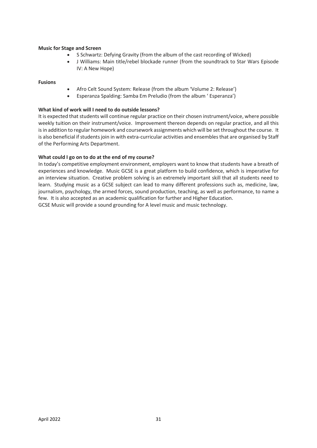#### **Music for Stage and Screen**

- S Schwartz: Defying Gravity (from the album of the cast recording of Wicked)
- J Williams: Main title/rebel blockade runner (from the soundtrack to Star Wars Episode IV: A New Hope)

#### **Fusions**

- Afro Celt Sound System: Release (from the album 'Volume 2: Release')
- Esperanza Spalding: Samba Em Preludio (from the album ' Esperanza')

#### **What kind of work will I need to do outside lessons?**

It is expected that students will continue regular practice on their chosen instrument/voice, where possible weekly tuition on their instrument/voice. Improvement thereon depends on regular practice, and all this is in addition to regular homework and coursework assignments which will be set throughout the course. It is also beneficial if students join in with extra-curricular activities and ensembles that are organised by Staff of the Performing Arts Department.

#### **What could I go on to do at the end of my course?**

In today's competitive employment environment, employers want to know that students have a breath of experiences and knowledge. Music GCSE is a great platform to build confidence, which is imperative for an interview situation. Creative problem solving is an extremely important skill that all students need to learn. Studying music as a GCSE subject can lead to many different professions such as, medicine, law, journalism, psychology, the armed forces, sound production, teaching, as well as performance, to name a few. It is also accepted as an academic qualification for further and Higher Education.

GCSE Music will provide a sound grounding for A level music and music technology.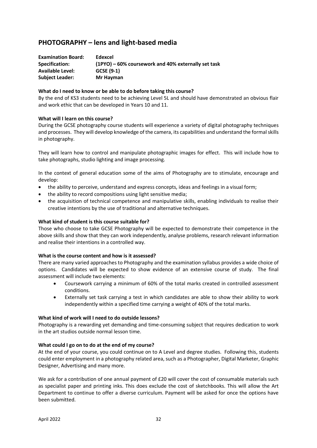## **PHOTOGRAPHY – lens and light-based media**

| <b>Examination Board:</b> | Edexcel                                             |
|---------------------------|-----------------------------------------------------|
| Specification:            | (1PYO) – 60% coursework and 40% externally set task |
| <b>Available Level:</b>   | GCSE (9-1)                                          |
| <b>Subject Leader:</b>    | Mr Hayman                                           |

#### **What do I need to know or be able to do before taking this course?**

By the end of KS3 students need to be achieving Level 5L and should have demonstrated an obvious flair and work ethic that can be developed in Years 10 and 11.

#### **What will I learn on this course?**

During the GCSE photography course students will experience a variety of digital photography techniques and processes. They will develop knowledge of the camera, its capabilities and understand the formal skills in photography.

They will learn how to control and manipulate photographic images for effect. This will include how to take photographs, studio lighting and image processing.

In the context of general education some of the aims of Photography are to stimulate, encourage and develop:

- the ability to perceive, understand and express concepts, ideas and feelings in a visual form;
- the ability to record compositions using light sensitive media;
- the acquisition of technical competence and manipulative skills, enabling individuals to realise their creative intentions by the use of traditional and alternative techniques.

#### **What kind of student is this course suitable for?**

Those who choose to take GCSE Photography will be expected to demonstrate their competence in the above skills and show that they can work independently, analyse problems, research relevant information and realise their intentions in a controlled way.

#### **What is the course content and how is it assessed?**

There are many varied approaches to Photography and the examination syllabus provides a wide choice of options. Candidates will be expected to show evidence of an extensive course of study. The final assessment will include two elements:

- Coursework carrying a minimum of 60% of the total marks created in controlled assessment conditions.
- Externally set task carrying a test in which candidates are able to show their ability to work independently within a specified time carrying a weight of 40% of the total marks.

#### **What kind of work will I need to do outside lessons?**

Photography is a rewarding yet demanding and time-consuming subject that requires dedication to work in the art studios outside normal lesson time.

#### **What could I go on to do at the end of my course?**

At the end of your course, you could continue on to A Level and degree studies. Following this, students could enter employment in a photography related area, such as a Photographer, Digital Marketer, Graphic Designer, Advertising and many more.

We ask for a contribution of one annual payment of £20 will cover the cost of consumable materials such as specialist paper and printing inks. This does exclude the cost of sketchbooks. This will allow the Art Department to continue to offer a diverse curriculum. Payment will be asked for once the options have been submitted.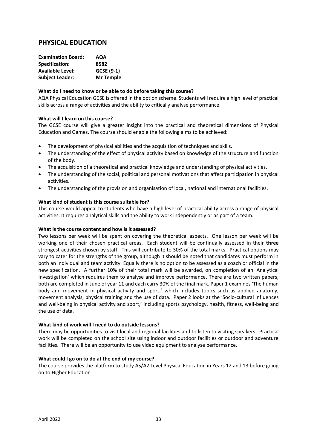## **PHYSICAL EDUCATION**

| <b>Examination Board:</b> | AQA              |
|---------------------------|------------------|
| Specification:            | 8582             |
| <b>Available Level:</b>   | GCSE (9-1)       |
| <b>Subject Leader:</b>    | <b>Mr Temple</b> |

#### **What do I need to know or be able to do before taking this course?**

AQA Physical Education GCSE is offered in the option scheme. Students will require a high level of practical skills across a range of activities and the ability to critically analyse performance.

#### **What will I learn on this course?**

The GCSE course will give a greater insight into the practical and theoretical dimensions of Physical Education and Games. The course should enable the following aims to be achieved:

- The development of physical abilities and the acquisition of techniques and skills.
- The understanding of the effect of physical activity based on knowledge of the structure and function of the body.
- The acquisition of a theoretical and practical knowledge and understanding of physical activities.
- The understanding of the social, political and personal motivations that affect participation in physical activities.
- The understanding of the provision and organisation of local, national and international facilities.

#### **What kind of student is this course suitable for?**

This course would appeal to students who have a high level of practical ability across a range of physical activities. It requires analytical skills and the ability to work independently or as part of a team.

#### **What is the course content and how is it assessed?**

Two lessons per week will be spent on covering the theoretical aspects. One lesson per week will be working one of their chosen practical areas. Each student will be continually assessed in their **three**  strongest activities chosen by staff. This will contribute to 30% of the total marks. Practical options may vary to cater for the strengths of the group, although it should be noted that candidates must perform in both an individual and team activity. Equally there is no option to be assessed as a coach or official in the new specification. A further 10% of their total mark will be awarded, on completion of an 'Analytical Investigation' which requires them to analyse and improve performance. There are two written papers, both are completed in June of year 11 and each carry 30% of the final mark. Paper 1 examines 'The human body and movement in physical activity and sport,' which includes topics such as applied anatomy, movement analysis, physical training and the use of data. Paper 2 looks at the 'Socio-cultural influences and well-being in physical activity and sport,' including sports psychology, health, fitness, well-being and the use of data.

#### **What kind of work will I need to do outside lessons?**

There may be opportunities to visit local and regional facilities and to listen to visiting speakers. Practical work will be completed on the school site using indoor and outdoor facilities or outdoor and adventure facilities. There will be an opportunity to use video equipment to analyse performance.

#### **What could I go on to do at the end of my course?**

The course provides the platform to study AS/A2 Level Physical Education in Years 12 and 13 before going on to Higher Education.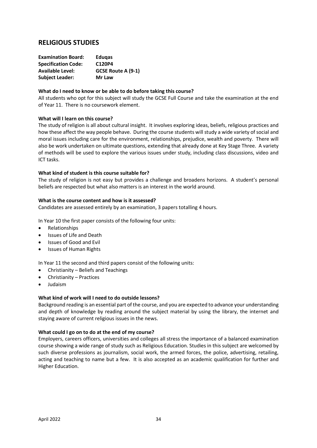| <b>Examination Board:</b>  | <b>Edugas</b>             |
|----------------------------|---------------------------|
| <b>Specification Code:</b> | C120P4                    |
| <b>Available Level:</b>    | <b>GCSE Route A (9-1)</b> |
| <b>Subject Leader:</b>     | Mr Law                    |

#### **What do I need to know or be able to do before taking this course?**

All students who opt for this subject will study the GCSE Full Course and take the examination at the end of Year 11. There is no coursework element.

#### **What will I learn on this course?**

The study of religion is all about cultural insight. It involves exploring ideas, beliefs, religious practices and how these affect the way people behave. During the course students will study a wide variety of social and moral issues including care for the environment, relationships, prejudice, wealth and poverty. There will also be work undertaken on ultimate questions, extending that already done at Key Stage Three. A variety of methods will be used to explore the various issues under study, including class discussions, video and ICT tasks.

#### **What kind of student is this course suitable for?**

The study of religion is not easy but provides a challenge and broadens horizons. A student's personal beliefs are respected but what also matters is an interest in the world around.

#### **What is the course content and how is it assessed?**

Candidates are assessed entirely by an examination, 3 papers totalling 4 hours.

In Year 10 the first paper consists of the following four units:

- Relationships
- Issues of Life and Death
- Issues of Good and Evil
- Issues of Human Rights

In Year 11 the second and third papers consist of the following units:

- Christianity Beliefs and Teachings
- Christianity Practices
- Judaism

#### **What kind of work will I need to do outside lessons?**

Background reading is an essential part of the course, and you are expected to advance your understanding and depth of knowledge by reading around the subject material by using the library, the internet and staying aware of current religious issues in the news.

#### **What could I go on to do at the end of my course?**

Employers, careers officers, universities and colleges all stress the importance of a balanced examination course showing a wide range of study such as Religious Education. Studies in this subject are welcomed by such diverse professions as journalism, social work, the armed forces, the police, advertising, retailing, acting and teaching to name but a few. It is also accepted as an academic qualification for further and Higher Education.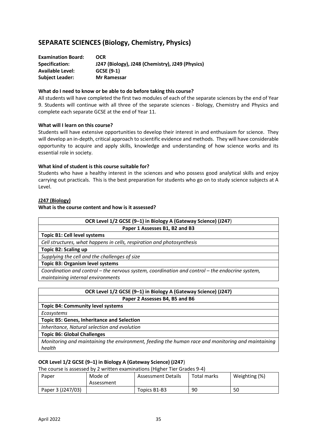## **SEPARATE SCIENCES (Biology, Chemistry, Physics)**

| <b>Examination Board:</b> | <b>OCR</b>                                       |
|---------------------------|--------------------------------------------------|
| Specification:            | J247 (Biology), J248 (Chemistry), J249 (Physics) |
| <b>Available Level:</b>   | GCSE (9-1)                                       |
| <b>Subject Leader:</b>    | Mr Ramessar                                      |

#### **What do I need to know or be able to do before taking this course?**

All students will have completed the first two modules of each of the separate sciences by the end of Year 9. Students will continue with all three of the separate sciences - Biology, Chemistry and Physics and complete each separate GCSE at the end of Year 11.

#### **What will I learn on this course?**

Students will have extensive opportunities to develop their interest in and enthusiasm for science. They will develop an in-depth, critical approach to scientific evidence and methods. They will have considerable opportunity to acquire and apply skills, knowledge and understanding of how science works and its essential role in society.

#### **What kind of student is this course suitable for?**

Students who have a healthy interest in the sciences and who possess good analytical skills and enjoy carrying out practicals. This is the best preparation for students who go on to study science subjects at A Level.

#### **J247 (Biology)**

#### **What is the course content and how is it assessed?**

| OCR Level 1/2 GCSE (9-1) in Biology A (Gateway Science) (J247)                                  |  |  |
|-------------------------------------------------------------------------------------------------|--|--|
| Paper 1 Assesses B1, B2 and B3                                                                  |  |  |
| Topic B1: Cell level systems                                                                    |  |  |
| Cell structures, what happens in cells, respiration and photosynthesis                          |  |  |
| <b>Topic B2: Scaling up</b>                                                                     |  |  |
| Supplying the cell and the challenges of size                                                   |  |  |
| <b>Topic B3: Organism level systems</b>                                                         |  |  |
| Coordination and control – the nervous system, coordination and control – the endocrine system, |  |  |
| maintaining internal environments                                                               |  |  |

| OCR Level 1/2 GCSE (9-1) in Biology A (Gateway Science) (J247)                                    |
|---------------------------------------------------------------------------------------------------|
| Paper 2 Assesses B4, B5 and B6                                                                    |
| <b>Topic B4: Community level systems</b>                                                          |
| Ecosystems                                                                                        |
| <b>Topic B5: Genes, Inheritance and Selection</b>                                                 |
| Inheritance, Natural selection and evolution                                                      |
| <b>Topic B6: Global Challenges</b>                                                                |
| Monitoring and maintaining the environment, feeding the human race and monitoring and maintaining |

#### **OCR Level 1/2 GCSE (9–1) in Biology A (Gateway Science) (J247**)

The course is assessed by 2 written examinations (Higher Tier Grades 9-4)

| Paper             | Mode of<br>Assessment | <b>Assessment Details</b> | Total marks | Weighting (%) |
|-------------------|-----------------------|---------------------------|-------------|---------------|
| Paper 3 (J247/03) |                       | Topics B1-B3              | 90          | 50            |

*health*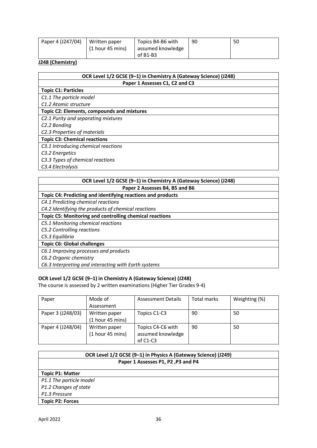| Paper 4 (J247/04) | Written paper      | Topics B4-B6 with | 90 | 50 |
|-------------------|--------------------|-------------------|----|----|
|                   | $(1$ hour 45 mins) | assumed knowledge |    |    |
|                   |                    | of $B1-B3$        |    |    |

#### **J248 (Chemistry)**

| OCR Level 1/2 GCSE (9-1) in Chemistry A (Gateway Science) (J248) |  |  |
|------------------------------------------------------------------|--|--|
| Paper 1 Assesses C1, C2 and C3                                   |  |  |
| <b>Topic C1: Particles</b>                                       |  |  |
| C1.1 The particle model                                          |  |  |
| C1.2 Atomic structure                                            |  |  |
| Topic C2: Elements, compounds and mixtures                       |  |  |
| C2.1 Purity and separating mixtures                              |  |  |
| C <sub>2</sub> .2 Bonding                                        |  |  |
| C2.3 Properties of materials                                     |  |  |
| <b>Topic C3: Chemical reactions</b>                              |  |  |
| C3.1 Introducing chemical reactions                              |  |  |
| C3.2 Energetics                                                  |  |  |
| C3.3 Types of chemical reactions                                 |  |  |
| C3.4 Electrolysis                                                |  |  |

#### **OCR Level 1/2 GCSE (9–1) in Chemistry A (Gateway Science) (J248)**

**Paper 2 Assesses B4, B5 and B6**

#### **Topic C4: Predicting and identifying reactions and products**

*C4.1 Predicting chemical reactions* 

*C4.2 Identifying the products of chemical reactions*

#### **Topic C5: Monitoring and controlling chemical reactions**

*C5.1 Monitoring chemical reactions* 

*C5.2 Controlling reactions* 

*C5.3 Equilibria*

#### **Topic C6: Global challenges**

*C6.1 Improving processes and products* 

*C6.2 Organic chemistry* 

*C6.3 Interpreting and interacting with Earth systems*

#### **OCR Level 1/2 GCSE (9–1) in Chemistry A (Gateway Science) (J248)**

The course is assessed by 2 written examinations (Higher Tier Grades 9-4)

| Paper             | Mode of          | <b>Assessment Details</b> | Total marks | Weighting (%) |
|-------------------|------------------|---------------------------|-------------|---------------|
|                   | Assessment       |                           |             |               |
| Paper 3 (J248/03) | Written paper    | Topics C1-C3              | 90          | 50            |
|                   | (1 hour 45 mins) |                           |             |               |
| Paper 4 (J248/04) | Written paper    | Topics C4-C6 with         | 90          | 50            |
|                   | (1 hour 45 mins) | assumed knowledge         |             |               |
|                   |                  | of $C1-C3$                |             |               |

| OCR Level 1/2 GCSE (9-1) in Physics A (Gateway Science) (J249) |  |  |
|----------------------------------------------------------------|--|--|
| Paper 1 Assesses P1, P2, P3 and P4                             |  |  |
| <b>Topic P1: Matter</b>                                        |  |  |
| P1.1 The particle model                                        |  |  |
| P1.2 Changes of state                                          |  |  |
| P1.3 Pressure                                                  |  |  |
| <b>Topic P2: Forces</b>                                        |  |  |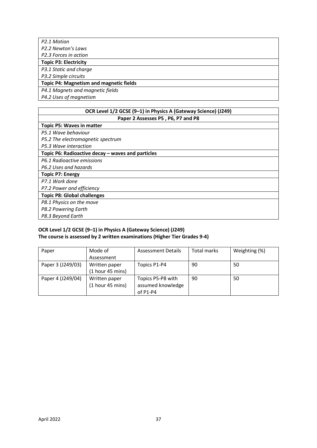| P2.1 Motion                                    |
|------------------------------------------------|
| P2.2 Newton's Laws                             |
| P2.3 Forces in action                          |
| <b>Topic P3: Electricity</b>                   |
| P3.1 Static and charge                         |
| P3.2 Simple circuits                           |
| <b>Topic P4: Magnetism and magnetic fields</b> |
| P4.1 Magnets and magnetic fields               |
|                                                |

*P4.2 Uses of magnetism*

#### **OCR Level 1/2 GCSE (9–1) in Physics A (Gateway Science) (J249) Paper 2 Assesses P5 , P6, P7 and P8**

#### **Topic P5: Waves in matter**

*P5.1 Wave behaviour* 

*P5.2 The electromagnetic spectrum* 

*P5.3 Wave interaction*

#### **Topic P6: Radioactive decay – waves and particles**

*P6.1 Radioactive emissions* 

*P6.2 Uses and hazards*

## **Topic P7: Energy**

*P7.1 Work done* 

*P7.2 Power and efficiency*

**Topic P8: Global challenges** 

*P8.1 Physics on the move* 

*P8.2 Powering Earth* 

*P8.3 Beyond Earth*

#### **OCR Level 1/2 GCSE (9–1) in Physics A (Gateway Science) (J249) The course is assessed by 2 written examinations (Higher Tier Grades 9-4)**

| Paper             | Mode of          | <b>Assessment Details</b> | Total marks | Weighting (%) |
|-------------------|------------------|---------------------------|-------------|---------------|
|                   | Assessment       |                           |             |               |
| Paper 3 (J249/03) | Written paper    | Topics P1-P4              | -90         | 50            |
|                   | (1 hour 45 mins) |                           |             |               |
| Paper 4 (J249/04) | Written paper    | Topics P5-P8 with         | 90          | 50            |
|                   | (1 hour 45 mins) | assumed knowledge         |             |               |
|                   |                  | of $P1-P4$                |             |               |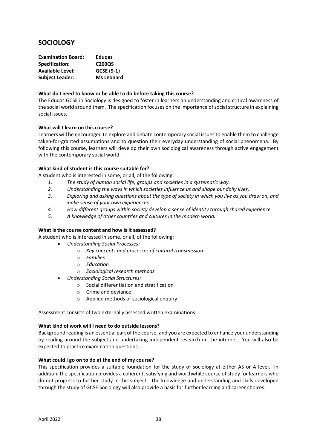## **SOCIOLOGY**

| <b>Examination Board:</b> | <b>Edugas</b>     |
|---------------------------|-------------------|
| <b>Specification:</b>     | C200QS            |
| <b>Available Level:</b>   | GCSE (9-1)        |
| <b>Subject Leader:</b>    | <b>Ms Leonard</b> |

#### **What do I need to know or be able to do before taking this course?**

The Eduqas GCSE in Sociology is designed to foster in learners an understanding and critical awareness of the social world around them. The specification focuses on the importance of social structure in explaining social issues.

#### **What will I learn on this course?**

Learners will be encouraged to explore and debate contemporary social issues to enable them to challenge taken-for-granted assumptions and to question their everyday understanding of social phenomena. By following this course, learners will develop their own sociological awareness through active engagement with the contemporary social world.

#### **What kind of student is this course suitable for?**

A student who is interested in some, or all, of the following:

- *1. The study of human social life, groups and societies in a systematic way.*
- *2. Understanding the ways in which societies influence us and shape our daily lives.*
- *3. Exploring and asking questions about the type of society in which you live as you draw on, and make sense of your own experiences.*
- *4. How different groups within society develop a sense of identity through shared experience.*
- *5. A knowledge of other countries and cultures in the modern world.*

#### **What is the course content and how is it assessed?**

A student who is interested in some, or all, of the following:

- *Understanding Social Processes:* 
	- o *Key concepts and processes of cultural transmission*
	- o *Families*
	- o *Education*
	- o *Sociological research methods*
	- *Understanding Social Structures:* 
		- o Social differentiation and stratification
		- o Crime and deviance
		- o Applied methods of sociological enquiry

Assessment consists of two externally assessed written examinations.

#### **What kind of work will I need to do outside lessons?**

Background reading is an essential part of the course, and you are expected to enhance your understanding by reading around the subject and undertaking independent research on the internet. You will also be expected to practice examination questions.

#### **What could I go on to do at the end of my course?**

This specification provides a suitable foundation for the study of sociology at either AS or A level. In addition, the specification provides a coherent, satisfying and worthwhile course of study for learners who do not progress to further study in this subject. The knowledge and understanding and skills developed through the study of GCSE Sociology will also provide a basis for further learning and career choices.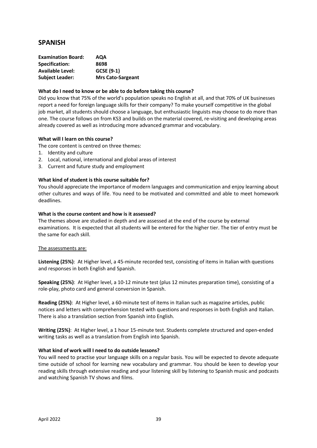## **SPANISH**

| <b>Examination Board:</b> | AQA                      |
|---------------------------|--------------------------|
| Specification:            | 8698                     |
| <b>Available Level:</b>   | GCSE (9-1)               |
| <b>Subject Leader:</b>    | <b>Mrs Cato-Sargeant</b> |

#### **What do I need to know or be able to do before taking this course?**

Did you know that 75% of the world's population speaks no English at all, and that 70% of UK businesses report a need for foreign language skills for their company? To make yourself competitive in the global job market, all students should choose a language, but enthusiastic linguists may choose to do more than one. The course follows on from KS3 and builds on the material covered, re-visiting and developing areas already covered as well as introducing more advanced grammar and vocabulary.

#### **What will I learn on this course?**

The core content is centred on three themes:

- 1. Identity and culture
- 2. Local, national, international and global areas of interest
- 3. Current and future study and employment

#### **What kind of student is this course suitable for?**

You should appreciate the importance of modern languages and communication and enjoy learning about other cultures and ways of life. You need to be motivated and committed and able to meet homework deadlines.

#### **What is the course content and how is it assessed?**

The themes above are studied in depth and are assessed at the end of the course by external examinations. It is expected that all students will be entered for the higher tier. The tier of entry must be the same for each skill.

#### The assessments are:

**Listening (25%)**: At Higher level, a 45-minute recorded test, consisting of items in Italian with questions and responses in both English and Spanish.

**Speaking (25%)**: At Higher level, a 10-12 minute test (plus 12 minutes preparation time), consisting of a role-play, photo card and general conversion in Spanish.

**Reading (25%)**: At Higher level, a 60-minute test of items in Italian such as magazine articles, public notices and letters with comprehension tested with questions and responses in both English and Italian. There is also a translation section from Spanish into English.

**Writing (25%)**: At Higher level, a 1 hour 15-minute test. Students complete structured and open-ended writing tasks as well as a translation from English into Spanish.

#### **What kind of work will I need to do outside lessons?**

You will need to practise your language skills on a regular basis. You will be expected to devote adequate time outside of school for learning new vocabulary and grammar. You should be keen to develop your reading skills through extensive reading and your listening skill by listening to Spanish music and podcasts and watching Spanish TV shows and films.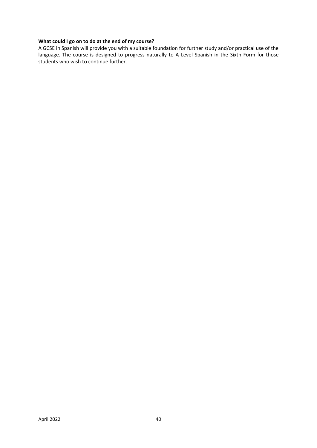#### **What could I go on to do at the end of my course?**

A GCSE in Spanish will provide you with a suitable foundation for further study and/or practical use of the language. The course is designed to progress naturally to A Level Spanish in the Sixth Form for those students who wish to continue further.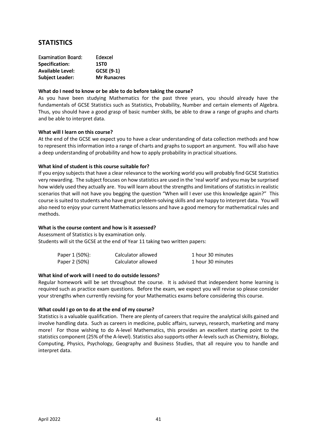## **STATISTICS**

| <b>Examination Board:</b> | Edexcel            |
|---------------------------|--------------------|
| Specification:            | 1ST <sub>0</sub>   |
| <b>Available Level:</b>   | GCSE (9-1)         |
| <b>Subject Leader:</b>    | <b>Mr Runacres</b> |

#### **What do I need to know or be able to do before taking the course?**

As you have been studying Mathematics for the past three years, you should already have the fundamentals of GCSE Statistics such as Statistics, Probability, Number and certain elements of Algebra. Thus, you should have a good grasp of basic number skills, be able to draw a range of graphs and charts and be able to interpret data.

#### **What will I learn on this course?**

At the end of the GCSE we expect you to have a clear understanding of data collection methods and how to represent this information into a range of charts and graphs to support an argument. You will also have a deep understanding of probability and how to apply probability in practical situations.

#### **What kind of student is this course suitable for?**

If you enjoy subjects that have a clear relevance to the working world you will probably find GCSE Statistics very rewarding. The subject focuses on how statistics are used in the 'real world' and you may be surprised how widely used they actually are. You will learn about the strengths and limitations of statistics in realistic scenarios that will not have you begging the question "When will I ever use this knowledge again?" This course is suited to students who have great problem-solving skills and are happy to interpret data. You will also need to enjoy your current Mathematics lessons and have a good memory for mathematical rules and methods.

#### **What is the course content and how is it assessed?**

Assessment of Statistics is by examination only. Students will sit the GCSE at the end of Year 11 taking two written papers:

| Paper 1 (50%): | Calculator allowed | 1 hour 30 minutes |
|----------------|--------------------|-------------------|
| Paper 2 (50%)  | Calculator allowed | 1 hour 30 minutes |

#### **What kind of work will I need to do outside lessons?**

Regular homework will be set throughout the course. It is advised that independent home learning is required such as practice exam questions. Before the exam, we expect you will revise so please consider your strengths when currently revising for your Mathematics exams before considering this course.

#### **What could I go on to do at the end of my course?**

Statistics is a valuable qualification. There are plenty of careers that require the analytical skills gained and involve handling data. Such as careers in medicine, public affairs, surveys, research, marketing and many more! For those wishing to do A-level Mathematics, this provides an excellent starting point to the statistics component (25% of the A-level). Statistics also supports other A-levels such as Chemistry, Biology, Computing, Physics, Psychology, Geography and Business Studies, that all require you to handle and interpret data.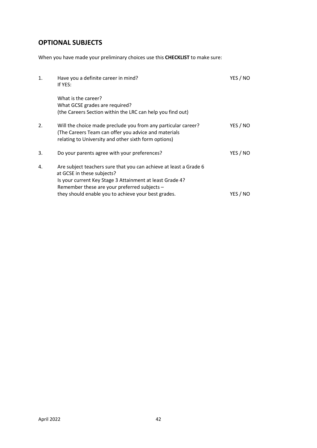## **OPTIONAL SUBJECTS**

When you have made your preliminary choices use this **CHECKLIST** to make sure:

| 1. | Have you a definite career in mind?<br>If YES:                                                                                                                                                                                                                       | YES / NO |
|----|----------------------------------------------------------------------------------------------------------------------------------------------------------------------------------------------------------------------------------------------------------------------|----------|
|    | What is the career?<br>What GCSE grades are required?<br>(the Careers Section within the LRC can help you find out)                                                                                                                                                  |          |
| 2. | Will the choice made preclude you from any particular career?<br>(The Careers Team can offer you advice and materials<br>relating to University and other sixth form options)                                                                                        | YES / NO |
| 3. | Do your parents agree with your preferences?                                                                                                                                                                                                                         | YES / NO |
| 4. | Are subject teachers sure that you can achieve at least a Grade 6<br>at GCSE in these subjects?<br>Is your current Key Stage 3 Attainment at least Grade 4?<br>Remember these are your preferred subjects $-$<br>they should enable you to achieve your best grades. | YES / NO |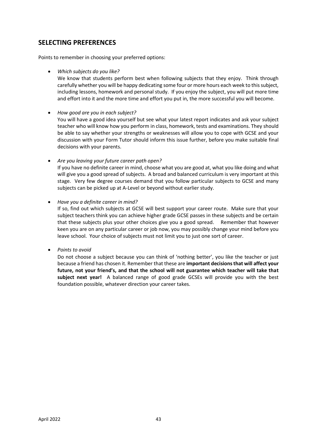## **SELECTING PREFERENCES**

Points to remember in choosing your preferred options:

• *Which subjects do you like?*

We know that students perform best when following subjects that they enjoy. Think through carefully whether you will be happy dedicating some four or more hours each week to this subject, including lessons, homework and personal study. If you enjoy the subject, you will put more time and effort into it and the more time and effort you put in, the more successful you will become.

• *How good are you in each subject?*

You will have a good idea yourself but see what your latest report indicates and ask your subject teacher who will know how you perform in class, homework, tests and examinations. They should be able to say whether your strengths or weaknesses will allow you to cope with GCSE and your discussion with your Form Tutor should inform this issue further, before you make suitable final decisions with your parents.

• *Are you leaving your future career path open?*

If you have no definite career in mind, choose what you are good at, what you like doing and what will give you a good spread of subjects. A broad and balanced curriculum is very important at this stage. Very few degree courses demand that you follow particular subjects to GCSE and many subjects can be picked up at A-Level or beyond without earlier study.

• *Have you a definite career in mind?*

If so, find out which subjects at GCSE will best support your career route. Make sure that your subject teachers think you can achieve higher grade GCSE passes in these subjects and be certain that these subjects plus your other choices give you a good spread. Remember that however keen you are on any particular career or job now, you may possibly change your mind before you leave school. Your choice of subjects must not limit you to just one sort of career.

• *Points to avoid*

Do not choose a subject because you can think of 'nothing better', you like the teacher or just because a friend has chosen it. Remember that these are **important decisions that will affect your future, not your friend's, and that the school will not guarantee which teacher will take that subject next year!** A balanced range of good grade GCSEs will provide you with the best foundation possible, whatever direction your career takes.